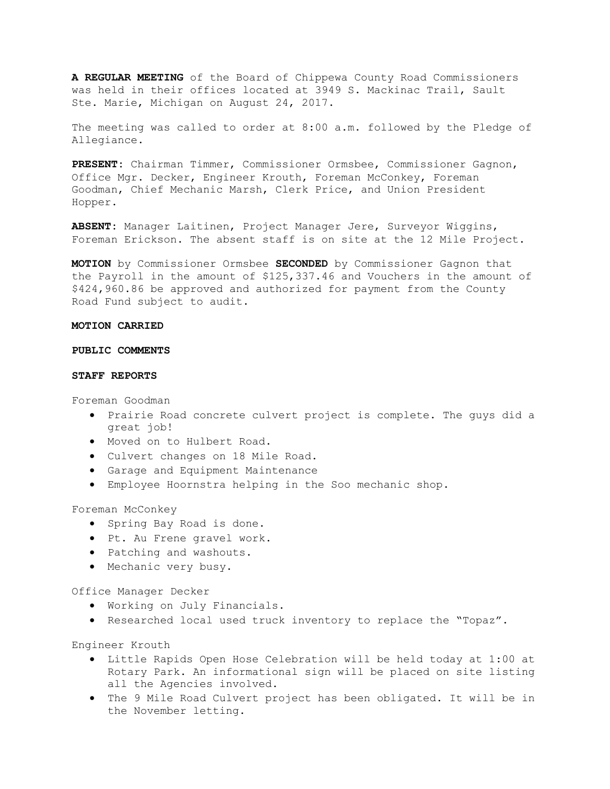**A REGULAR MEETING** of the Board of Chippewa County Road Commissioners was held in their offices located at 3949 S. Mackinac Trail, Sault Ste. Marie, Michigan on August 24, 2017.

The meeting was called to order at 8:00 a.m. followed by the Pledge of Allegiance.

**PRESENT:** Chairman Timmer, Commissioner Ormsbee, Commissioner Gagnon, Office Mgr. Decker, Engineer Krouth, Foreman McConkey, Foreman Goodman, Chief Mechanic Marsh, Clerk Price, and Union President Hopper.

**ABSENT:** Manager Laitinen, Project Manager Jere, Surveyor Wiggins, Foreman Erickson. The absent staff is on site at the 12 Mile Project.

**MOTION** by Commissioner Ormsbee **SECONDED** by Commissioner Gagnon that the Payroll in the amount of \$125,337.46 and Vouchers in the amount of \$424,960.86 be approved and authorized for payment from the County Road Fund subject to audit.

# **MOTION CARRIED**

# **PUBLIC COMMENTS**

#### **STAFF REPORTS**

Foreman Goodman

- Prairie Road concrete culvert project is complete. The guys did a great job!
- Moved on to Hulbert Road.
- Culvert changes on 18 Mile Road.
- Garage and Equipment Maintenance
- Employee Hoornstra helping in the Soo mechanic shop.

Foreman McConkey

- Spring Bay Road is done.
- Pt. Au Frene gravel work.
- Patching and washouts.
- Mechanic very busy.

#### Office Manager Decker

- Working on July Financials.
- Researched local used truck inventory to replace the "Topaz".

Engineer Krouth

- Little Rapids Open Hose Celebration will be held today at 1:00 at Rotary Park. An informational sign will be placed on site listing all the Agencies involved.
- The 9 Mile Road Culvert project has been obligated. It will be in the November letting.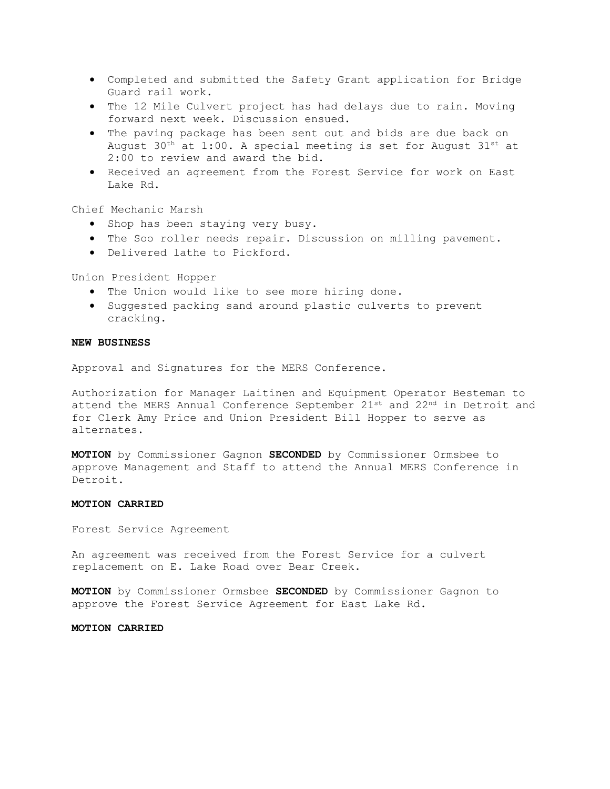- Completed and submitted the Safety Grant application for Bridge Guard rail work.
- The 12 Mile Culvert project has had delays due to rain. Moving forward next week. Discussion ensued.
- The paving package has been sent out and bids are due back on August  $30<sup>th</sup>$  at 1:00. A special meeting is set for August  $31<sup>st</sup>$  at 2:00 to review and award the bid.
- Received an agreement from the Forest Service for work on East Lake Rd.

Chief Mechanic Marsh

- Shop has been staying very busy.
- The Soo roller needs repair. Discussion on milling pavement.
- Delivered lathe to Pickford.

Union President Hopper

- The Union would like to see more hiring done.
- Suggested packing sand around plastic culverts to prevent cracking.

## **NEW BUSINESS**

Approval and Signatures for the MERS Conference.

Authorization for Manager Laitinen and Equipment Operator Besteman to attend the MERS Annual Conference September 21st and 22nd in Detroit and for Clerk Amy Price and Union President Bill Hopper to serve as alternates.

**MOTION** by Commissioner Gagnon **SECONDED** by Commissioner Ormsbee to approve Management and Staff to attend the Annual MERS Conference in Detroit.

# **MOTION CARRIED**

Forest Service Agreement

An agreement was received from the Forest Service for a culvert replacement on E. Lake Road over Bear Creek.

**MOTION** by Commissioner Ormsbee **SECONDED** by Commissioner Gagnon to approve the Forest Service Agreement for East Lake Rd.

#### **MOTION CARRIED**